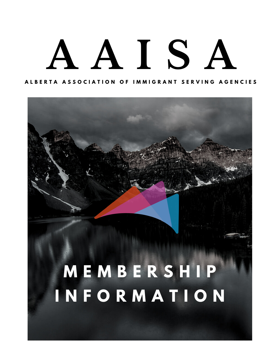# **A A I S A**

#### ALBERIA ASSOCIAIION OF IMMIGRANI SERVING AGENCIES



## **I N F O R M A T I O N**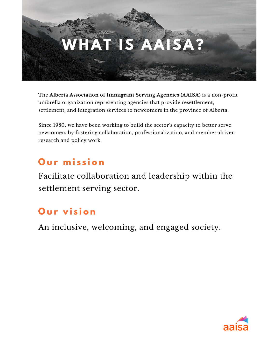

The **Alberta Association of Immigrant Serving Agencies (AAISA)** is a non-profit umbrella organization representing agencies that provide resettlement, settlement, and integration services to newcomers in the province of Alberta.

Since 1980, we have been working to build the sector's capacity to better serve newcomers by fostering collaboration, professionalization, and member-driven research and policy work.

#### Our mission

Facilitate collaboration and leadership within the settlement serving sector.

#### **Our vision**

An inclusive, welcoming, and engaged society.

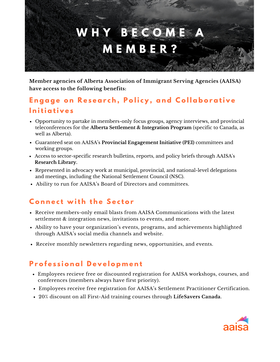

**Member agencies of Alberta Association of Immigrant Serving Agencies (AAISA) have access to the following benefits:**

#### Engage on Research, Policy, and Collaborative **I n iti a ti v e s**

- Opportunity to partake in members-only focus groups, agency interviews, and provincial [teleconferences](https://aaisa.ca/engagement/the-alberta-settlement-and-integration-program/) for the **Alberta Settlement & Integration Program** (specific to Canada, as well as Alberta).
- Guaranteed seat on AAISA's **Provincial [Engagement](https://aaisa.ca/engagement/provincial-engagement-initiativeabstract/) Initiative (PEI)** committees and working groups.
- Access to [sector-specific](https://aaisa.ca/research/) research bulletins, reports, and policy briefs through AAISA's **Research Library.**
- Represented in advocacy work at municipal, provincial, and national-level delegations and meetings, including the National Settlement Council (NSC).
- Ability to run for AAISA's Board of Directors and [committees.](https://aaisa.ca/about/)

#### **C o n n e c t w it h t h e S e c t o r**

- Receive members-only email blasts from AAISA Communications with the latest settlement & integration news, invitations to events, and more.
- Ability to have your organization's events, programs, and achievements highlighted through AAISA's social media channels and website.
- Receive monthly newsletters regarding news, opportunities, and events.

#### **P r o f e s s i o n a l D e v e l o p m e n t**

- Employees recieve free or discounted registration for AAISA workshops, courses, and [conferences](https://aaisa.ca/professional-development/) (members always have first priority).
- Employees receive free registration for AAISA's Settlement Practitioner [Certification.](https://aaisa.ca/professional-development/)
- 20% discount on all [First-Aid](https://lifesaverscanada.com/) training courses through **[LifeSavers](https://lifesaverscanada.com/) Canada**[.](https://lifesaverscanada.com/)

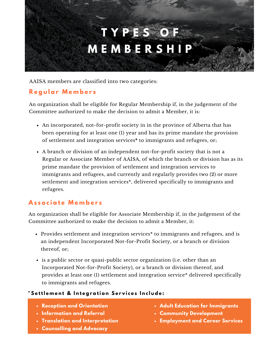## **T Y P E S O F M E M B E R S H I P**

AAISA members are classified into two categories:

#### **R e g u l a r M e m b e r s**

An organization shall be eligible for Regular Membership if, in the judgement of the Committee authorized to make the decision to admit a Member, it is:

- An incorporated, not-for-profit society in in the province of Alberta that has been operating for at least one (1) year and has its prime mandate the provision of settlement and integration services**\*** to immigrants and refugees, or;
- A branch or division of an independent not-for-profit society that is not a Regular or Associate Member of AAISA, of which the branch or division has as its prime mandate the provision of settlement and integration services to immigrants and refugees, and currently and regularly provides two (2) or more settlement and integration services\*, delivered specifically to immigrants and refugees.

#### **A s s o c i a t e M e m b e r s**

An organization shall be eligible for Associate Membership if, in the judgement of the Committee authorized to make the decision to admit a Member, it:

- Provides settlement and integration services\* to immigrants and refugees, and is an independent Incorporated Not-for-Profit Society, or a branch or division thereof, or;
- is a public sector or quasi-public sector organization (i.e. other than an Incorporated Not-for-Profit Society), or a branch or division thereof, and provides at least one (1) settlement and integration service\* delivered specifically to immigrants and refugees.

#### \*Settlement & Integration Services Include:

- **Reception and Orientation**
- **Information and Referral**
- **Translation and Interpretation**
- **Counselling and Advocacy**
- **Adult Education for Immigrants**
- **Community Development**
- **Employment and Career Services**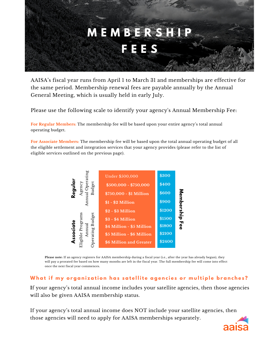

AAISA's fiscal year runs from April 1 to March 31 and memberships are effective for the same period. Membership renewal fees are payable annually by the Annual General Meeting, which is usually held in early July.

Please use the following scale to identify your agency's Annual Membership Fee:

**For Regular Members:** The membership fee will be based upon your entire agency's total annual operating budget.

**For Associate Members:** The membership fee will be based upon the total annual operating budget of all the eligible settlement and integration services that your agency provides (please refer to the list of eligible services outlined on the previous page).



**Please note:** If an agency registers for AAISA membership during a fiscal year (i.e., after the year has already begun), they will pay a prorated fee based on how many months are left in the fiscal year. The full membership fee will come into effect once the next fiscal year commences.

#### What if my organization has satellite agencies or multiple branches?

**I**f your agency's total annual income includes your satellite agencies, then those agencies will also be given AAISA membership status.

If your agency's total annual income does NOT include your satellite agencies, then those agencies will need to apply for AAISA memberships separately.